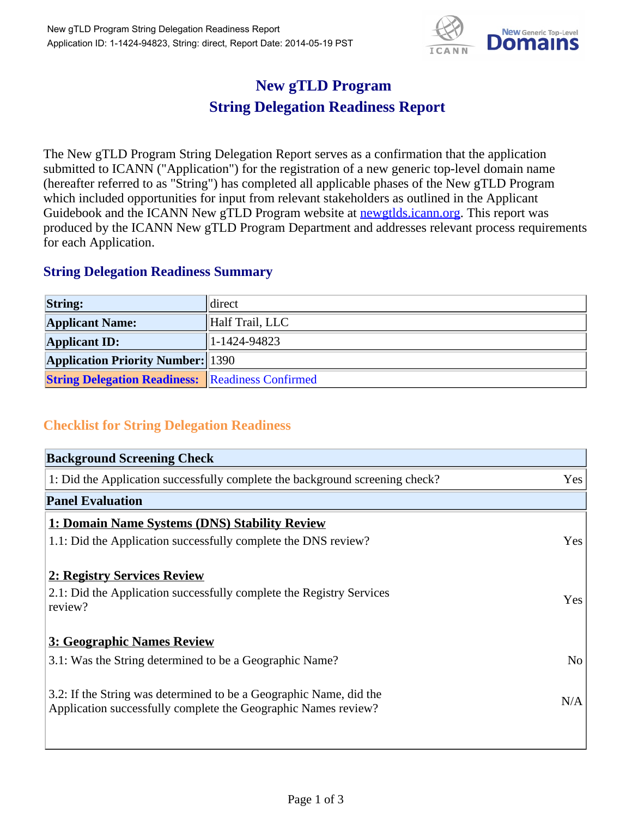

## **New gTLD Program String Delegation Readiness Report**

The New gTLD Program String Delegation Report serves as a confirmation that the application submitted to ICANN ("Application") for the registration of a new generic top-level domain name (hereafter referred to as "String") has completed all applicable phases of the New gTLD Program which included opportunities for input from relevant stakeholders as outlined in the Applicant Guidebook and the ICANN New gTLD Program website at newgtlds.icann.org. This report was produced by the ICANN New gTLD Program Department and addresses relevant process requirements for each Application.

## **String Delegation Readiness Summary**

| <b>String:</b>                                          | direct          |
|---------------------------------------------------------|-----------------|
| <b>Applicant Name:</b>                                  | Half Trail, LLC |
| <b>Applicant ID:</b>                                    | 1-1424-94823    |
| <b>Application Priority Number: 1390</b>                |                 |
| <b>String Delegation Readiness: Readiness Confirmed</b> |                 |

## **Checklist for String Delegation Readiness**

| <b>Background Screening Check</b>                                                                                                    |                |
|--------------------------------------------------------------------------------------------------------------------------------------|----------------|
| 1: Did the Application successfully complete the background screening check?                                                         | Yes            |
| <b>Panel Evaluation</b>                                                                                                              |                |
| 1: Domain Name Systems (DNS) Stability Review                                                                                        |                |
| 1.1: Did the Application successfully complete the DNS review?                                                                       | Yes            |
| 2: Registry Services Review                                                                                                          |                |
| 2.1: Did the Application successfully complete the Registry Services<br>review?                                                      | Yes            |
| 3: Geographic Names Review                                                                                                           |                |
| 3.1: Was the String determined to be a Geographic Name?                                                                              | N <sub>o</sub> |
| 3.2: If the String was determined to be a Geographic Name, did the<br>Application successfully complete the Geographic Names review? | N/A            |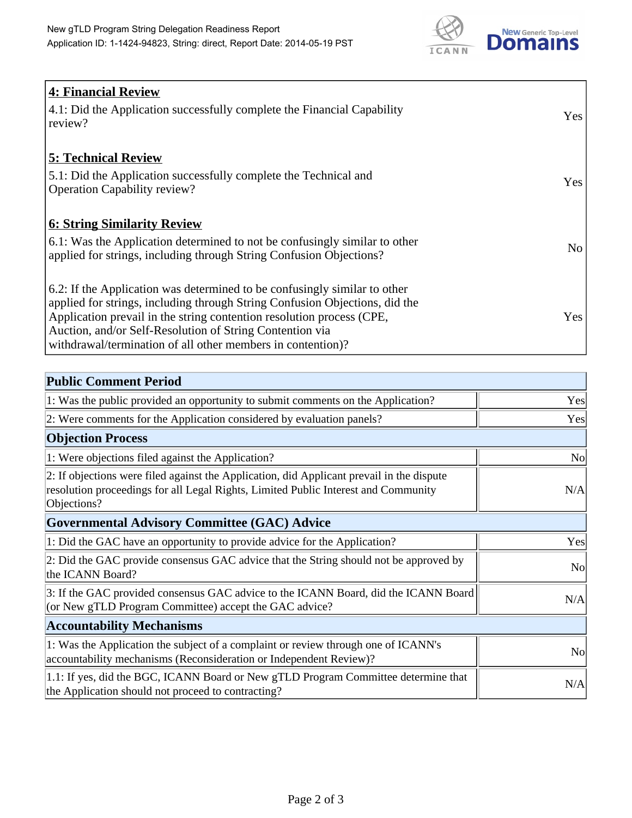

| <b>4: Financial Review</b><br>4.1: Did the Application successfully complete the Financial Capability<br>review?                                                                                                                                                                                                                                             | Yes             |
|--------------------------------------------------------------------------------------------------------------------------------------------------------------------------------------------------------------------------------------------------------------------------------------------------------------------------------------------------------------|-----------------|
| <b>5: Technical Review</b><br>5.1: Did the Application successfully complete the Technical and<br><b>Operation Capability review?</b>                                                                                                                                                                                                                        | Yes             |
| <b>6: String Similarity Review</b><br>6.1: Was the Application determined to not be confusingly similar to other<br>applied for strings, including through String Confusion Objections?                                                                                                                                                                      | No <sub>1</sub> |
| 6.2: If the Application was determined to be confusingly similar to other<br>applied for strings, including through String Confusion Objections, did the<br>Application prevail in the string contention resolution process (CPE,<br>Auction, and/or Self-Resolution of String Contention via<br>withdrawal/termination of all other members in contention)? | Yes             |

| <b>Public Comment Period</b>                                                                                                                                                                   |                |
|------------------------------------------------------------------------------------------------------------------------------------------------------------------------------------------------|----------------|
| 1: Was the public provided an opportunity to submit comments on the Application?                                                                                                               | Yes            |
| 2: Were comments for the Application considered by evaluation panels?                                                                                                                          | Yes            |
| <b>Objection Process</b>                                                                                                                                                                       |                |
| 1: Were objections filed against the Application?                                                                                                                                              | <b>No</b>      |
| 2: If objections were filed against the Application, did Applicant prevail in the dispute<br>resolution proceedings for all Legal Rights, Limited Public Interest and Community<br>Objections? | N/A            |
| <b>Governmental Advisory Committee (GAC) Advice</b>                                                                                                                                            |                |
| 1: Did the GAC have an opportunity to provide advice for the Application?                                                                                                                      | Yes            |
| 2: Did the GAC provide consensus GAC advice that the String should not be approved by<br>the ICANN Board?                                                                                      | N <sub>o</sub> |
| 3: If the GAC provided consensus GAC advice to the ICANN Board, did the ICANN Board<br>(or New gTLD Program Committee) accept the GAC advice?                                                  | N/A            |
| <b>Accountability Mechanisms</b>                                                                                                                                                               |                |
| 1: Was the Application the subject of a complaint or review through one of ICANN's<br>accountability mechanisms (Reconsideration or Independent Review)?                                       | N <sub>0</sub> |
| 1.1: If yes, did the BGC, ICANN Board or New gTLD Program Committee determine that<br>the Application should not proceed to contracting?                                                       | N/A            |